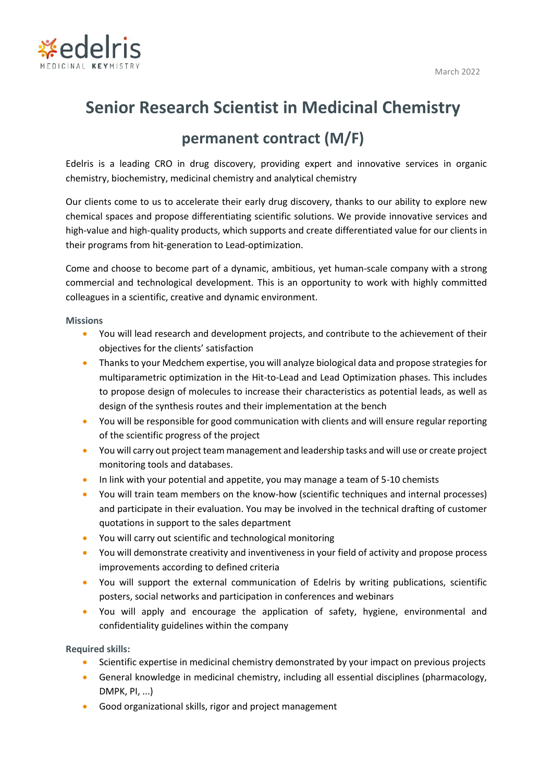

## **Senior Research Scientist in Medicinal Chemistry**

## **permanent contract (M/F)**

Edelris is a leading CRO in drug discovery, providing expert and innovative services in organic chemistry, biochemistry, medicinal chemistry and analytical chemistry

Our clients come to us to accelerate their early drug discovery, thanks to our ability to explore new chemical spaces and propose differentiating scientific solutions. We provide innovative services and high-value and high-quality products, which supports and create differentiated value for our clients in their programs from hit-generation to Lead-optimization.

Come and choose to become part of a dynamic, ambitious, yet human-scale company with a strong commercial and technological development. This is an opportunity to work with highly committed colleagues in a scientific, creative and dynamic environment.

**Missions**

- You will lead research and development projects, and contribute to the achievement of their objectives for the clients' satisfaction
- Thanks to your Medchem expertise, you will analyze biological data and propose strategies for multiparametric optimization in the Hit-to-Lead and Lead Optimization phases. This includes to propose design of molecules to increase their characteristics as potential leads, as well as design of the synthesis routes and their implementation at the bench
- You will be responsible for good communication with clients and will ensure regular reporting of the scientific progress of the project
- You will carry out project team management and leadership tasks and will use or create project monitoring tools and databases.
- In link with your potential and appetite, you may manage a team of 5-10 chemists
- You will train team members on the know-how (scientific techniques and internal processes) and participate in their evaluation. You may be involved in the technical drafting of customer quotations in support to the sales department
- You will carry out scientific and technological monitoring
- You will demonstrate creativity and inventiveness in your field of activity and propose process improvements according to defined criteria
- You will support the external communication of Edelris by writing publications, scientific posters, social networks and participation in conferences and webinars
- You will apply and encourage the application of safety, hygiene, environmental and confidentiality guidelines within the company

**Required skills:**

- Scientific expertise in medicinal chemistry demonstrated by your impact on previous projects
- General knowledge in medicinal chemistry, including all essential disciplines (pharmacology, DMPK, PI, ...)
- Good organizational skills, rigor and project management